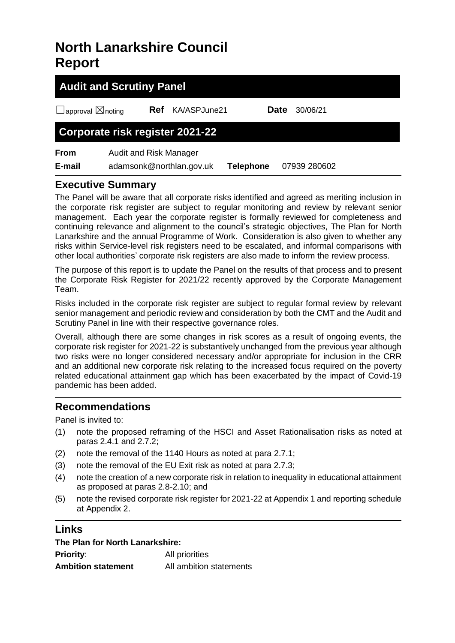# **North Lanarkshire Council Report**

| <b>Audit and Scrutiny Panel</b>    |                                                    |              |                  |              |  |
|------------------------------------|----------------------------------------------------|--------------|------------------|--------------|--|
| $\Box$ approval $\boxtimes$ noting | <b>Ref</b>                                         | KA/ASPJune21 | Date             | 30/06/21     |  |
| Corporate risk register 2021-22    |                                                    |              |                  |              |  |
| <b>From</b><br>E-mail              | Audit and Risk Manager<br>adamsonk@northlan.gov.uk |              | <b>Telephone</b> | 07939 280602 |  |

## **Executive Summary**

The Panel will be aware that all corporate risks identified and agreed as meriting inclusion in the corporate risk register are subject to regular monitoring and review by relevant senior management. Each year the corporate register is formally reviewed for completeness and continuing relevance and alignment to the council's strategic objectives, The Plan for North Lanarkshire and the annual Programme of Work. Consideration is also given to whether any risks within Service-level risk registers need to be escalated, and informal comparisons with other local authorities' corporate risk registers are also made to inform the review process.

The purpose of this report is to update the Panel on the results of that process and to present the Corporate Risk Register for 2021/22 recently approved by the Corporate Management Team.

Risks included in the corporate risk register are subject to regular formal review by relevant senior management and periodic review and consideration by both the CMT and the Audit and Scrutiny Panel in line with their respective governance roles.

Overall, although there are some changes in risk scores as a result of ongoing events, the corporate risk register for 2021-22 is substantively unchanged from the previous year although two risks were no longer considered necessary and/or appropriate for inclusion in the CRR and an additional new corporate risk relating to the increased focus required on the poverty related educational attainment gap which has been exacerbated by the impact of Covid-19 pandemic has been added.

# **Recommendations**

Panel is invited to:

- (1) note the proposed reframing of the HSCI and Asset Rationalisation risks as noted at paras 2.4.1 and 2.7.2;
- (2) note the removal of the 1140 Hours as noted at para 2.7.1;
- (3) note the removal of the EU Exit risk as noted at para 2.7.3;
- (4) note the creation of a new corporate risk in relation to inequality in educational attainment as proposed at paras 2.8-2.10; and
- (5) note the revised corporate risk register for 2021-22 at Appendix 1 and reporting schedule at Appendix 2.

## **Links**

| The Plan for North Lanarkshire: |                         |  |  |
|---------------------------------|-------------------------|--|--|
| <b>Priority:</b>                | All priorities          |  |  |
| <b>Ambition statement</b>       | All ambition statements |  |  |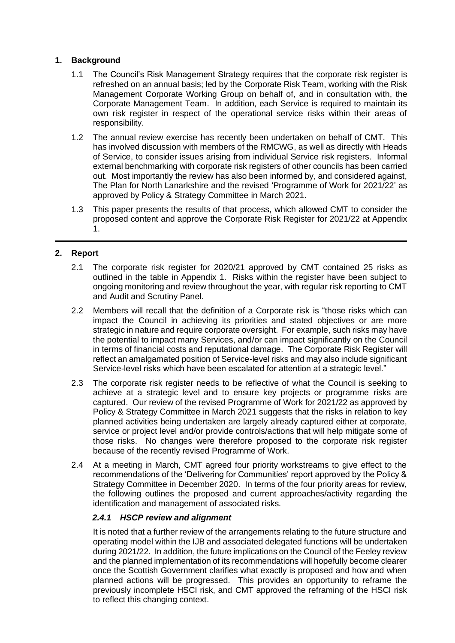### **1. Background**

- 1.1 The Council's Risk Management Strategy requires that the corporate risk register is refreshed on an annual basis; led by the Corporate Risk Team, working with the Risk Management Corporate Working Group on behalf of, and in consultation with, the Corporate Management Team. In addition, each Service is required to maintain its own risk register in respect of the operational service risks within their areas of responsibility.
- 1.2 The annual review exercise has recently been undertaken on behalf of CMT. This has involved discussion with members of the RMCWG, as well as directly with Heads of Service, to consider issues arising from individual Service risk registers. Informal external benchmarking with corporate risk registers of other councils has been carried out. Most importantly the review has also been informed by, and considered against, The Plan for North Lanarkshire and the revised 'Programme of Work for 2021/22' as approved by Policy & Strategy Committee in March 2021.
- 1.3 This paper presents the results of that process, which allowed CMT to consider the proposed content and approve the Corporate Risk Register for 2021/22 at Appendix 1.

### **2. Report**

- 2.1 The corporate risk register for 2020/21 approved by CMT contained 25 risks as outlined in the table in Appendix 1. Risks within the register have been subject to ongoing monitoring and review throughout the year, with regular risk reporting to CMT and Audit and Scrutiny Panel.
- 2.2 Members will recall that the definition of a Corporate risk is "those risks which can impact the Council in achieving its priorities and stated objectives or are more strategic in nature and require corporate oversight. For example, such risks may have the potential to impact many Services, and/or can impact significantly on the Council in terms of financial costs and reputational damage. The Corporate Risk Register will reflect an amalgamated position of Service-level risks and may also include significant Service-level risks which have been escalated for attention at a strategic level."
- 2.3 The corporate risk register needs to be reflective of what the Council is seeking to achieve at a strategic level and to ensure key projects or programme risks are captured. Our review of the revised Programme of Work for 2021/22 as approved by Policy & Strategy Committee in March 2021 suggests that the risks in relation to key planned activities being undertaken are largely already captured either at corporate, service or project level and/or provide controls/actions that will help mitigate some of those risks. No changes were therefore proposed to the corporate risk register because of the recently revised Programme of Work.
- 2.4 At a meeting in March, CMT agreed four priority workstreams to give effect to the recommendations of the 'Delivering for Communities' report approved by the Policy & Strategy Committee in December 2020. In terms of the four priority areas for review, the following outlines the proposed and current approaches/activity regarding the identification and management of associated risks.

#### *2.4.1 HSCP review and alignment*

It is noted that a further review of the arrangements relating to the future structure and operating model within the IJB and associated delegated functions will be undertaken during 2021/22. In addition, the future implications on the Council of the Feeley review and the planned implementation of its recommendations will hopefully become clearer once the Scottish Government clarifies what exactly is proposed and how and when planned actions will be progressed. This provides an opportunity to reframe the previously incomplete HSCI risk, and CMT approved the reframing of the HSCI risk to reflect this changing context.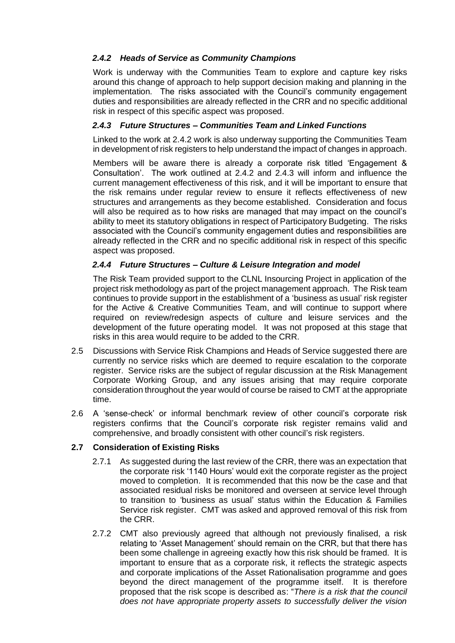## *2.4.2 Heads of Service as Community Champions*

Work is underway with the Communities Team to explore and capture key risks around this change of approach to help support decision making and planning in the implementation. The risks associated with the Council's community engagement duties and responsibilities are already reflected in the CRR and no specific additional risk in respect of this specific aspect was proposed.

## *2.4.3 Future Structures – Communities Team and Linked Functions*

Linked to the work at 2.4.2 work is also underway supporting the Communities Team in development of risk registers to help understand the impact of changes in approach.

Members will be aware there is already a corporate risk titled 'Engagement & Consultation'. The work outlined at 2.4.2 and 2.4.3 will inform and influence the current management effectiveness of this risk, and it will be important to ensure that the risk remains under regular review to ensure it reflects effectiveness of new structures and arrangements as they become established. Consideration and focus will also be required as to how risks are managed that may impact on the council's ability to meet its statutory obligations in respect of Participatory Budgeting. The risks associated with the Council's community engagement duties and responsibilities are already reflected in the CRR and no specific additional risk in respect of this specific aspect was proposed.

## *2.4.4 Future Structures – Culture & Leisure Integration and model*

The Risk Team provided support to the CLNL Insourcing Project in application of the project risk methodology as part of the project management approach. The Risk team continues to provide support in the establishment of a 'business as usual' risk register for the Active & Creative Communities Team, and will continue to support where required on review/redesign aspects of culture and leisure services and the development of the future operating model. It was not proposed at this stage that risks in this area would require to be added to the CRR.

- 2.5 Discussions with Service Risk Champions and Heads of Service suggested there are currently no service risks which are deemed to require escalation to the corporate register. Service risks are the subject of regular discussion at the Risk Management Corporate Working Group, and any issues arising that may require corporate consideration throughout the year would of course be raised to CMT at the appropriate time.
- 2.6 A 'sense-check' or informal benchmark review of other council's corporate risk registers confirms that the Council's corporate risk register remains valid and comprehensive, and broadly consistent with other council's risk registers.

## **2.7 Consideration of Existing Risks**

- 2.7.1 As suggested during the last review of the CRR, there was an expectation that the corporate risk '1140 Hours' would exit the corporate register as the project moved to completion. It is recommended that this now be the case and that associated residual risks be monitored and overseen at service level through to transition to 'business as usual' status within the Education & Families Service risk register. CMT was asked and approved removal of this risk from the CRR.
- 2.7.2 CMT also previously agreed that although not previously finalised, a risk relating to 'Asset Management' should remain on the CRR, but that there has been some challenge in agreeing exactly how this risk should be framed. It is important to ensure that as a corporate risk, it reflects the strategic aspects and corporate implications of the Asset Rationalisation programme and goes beyond the direct management of the programme itself. It is therefore proposed that the risk scope is described as: "*There is a risk that the council does not have appropriate property assets to successfully deliver the vision*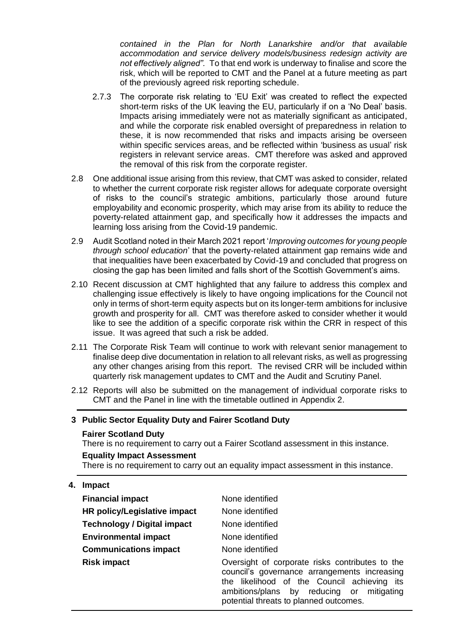*contained in the Plan for North Lanarkshire and/or that available accommodation and service delivery models/business redesign activity are not effectively aligned".* To that end work is underway to finalise and score the risk, which will be reported to CMT and the Panel at a future meeting as part of the previously agreed risk reporting schedule.

- 2.7.3 The corporate risk relating to 'EU Exit' was created to reflect the expected short-term risks of the UK leaving the EU, particularly if on a 'No Deal' basis. Impacts arising immediately were not as materially significant as anticipated, and while the corporate risk enabled oversight of preparedness in relation to these, it is now recommended that risks and impacts arising be overseen within specific services areas, and be reflected within 'business as usual' risk registers in relevant service areas. CMT therefore was asked and approved the removal of this risk from the corporate register.
- 2.8 One additional issue arising from this review, that CMT was asked to consider, related to whether the current corporate risk register allows for adequate corporate oversight of risks to the council's strategic ambitions, particularly those around future employability and economic prosperity, which may arise from its ability to reduce the poverty-related attainment gap, and specifically how it addresses the impacts and learning loss arising from the Covid-19 pandemic.
- 2.9 Audit Scotland noted in their March 2021 report '*Improving outcomes for young people through school education*' that the poverty-related attainment gap remains wide and that inequalities have been exacerbated by Covid-19 and concluded that progress on closing the gap has been limited and falls short of the Scottish Government's aims.
- 2.10 Recent discussion at CMT highlighted that any failure to address this complex and challenging issue effectively is likely to have ongoing implications for the Council not only in terms of short-term equity aspects but on its longer-term ambitions for inclusive growth and prosperity for all. CMT was therefore asked to consider whether it would like to see the addition of a specific corporate risk within the CRR in respect of this issue. It was agreed that such a risk be added.
- 2.11 The Corporate Risk Team will continue to work with relevant senior management to finalise deep dive documentation in relation to all relevant risks, as well as progressing any other changes arising from this report. The revised CRR will be included within quarterly risk management updates to CMT and the Audit and Scrutiny Panel.
- 2.12 Reports will also be submitted on the management of individual corporate risks to CMT and the Panel in line with the timetable outlined in Appendix 2.

#### **3 Public Sector Equality Duty and Fairer Scotland Duty**

#### **Fairer Scotland Duty**

There is no requirement to carry out a Fairer Scotland assessment in this instance.

#### **Equality Impact Assessment**

There is no requirement to carry out an equality impact assessment in this instance.

**4. Impact**

| <b>Financial impact</b>            | None identified                                                                                                                                                                                                                       |  |
|------------------------------------|---------------------------------------------------------------------------------------------------------------------------------------------------------------------------------------------------------------------------------------|--|
| HR policy/Legislative impact       | None identified                                                                                                                                                                                                                       |  |
| <b>Technology / Digital impact</b> | None identified                                                                                                                                                                                                                       |  |
| <b>Environmental impact</b>        | None identified                                                                                                                                                                                                                       |  |
| <b>Communications impact</b>       | None identified                                                                                                                                                                                                                       |  |
| <b>Risk impact</b>                 | Oversight of corporate risks contributes to the<br>council's governance arrangements increasing<br>the likelihood of the Council achieving its<br>ambitions/plans by reducing or mitigating<br>potential threats to planned outcomes. |  |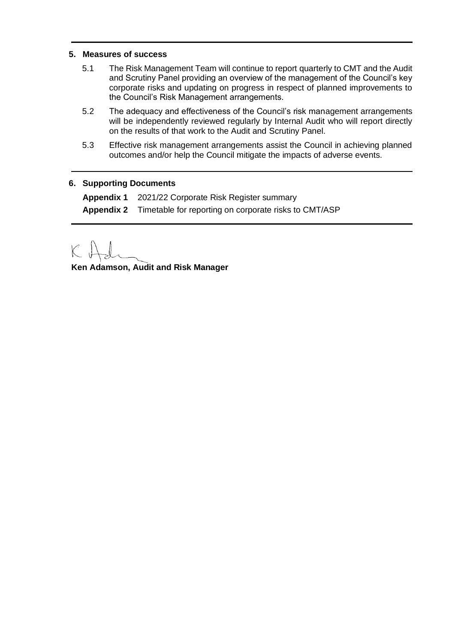#### **5. Measures of success**

- 5.1 The Risk Management Team will continue to report quarterly to CMT and the Audit and Scrutiny Panel providing an overview of the management of the Council's key corporate risks and updating on progress in respect of planned improvements to the Council's Risk Management arrangements.
- 5.2 The adequacy and effectiveness of the Council's risk management arrangements will be independently reviewed regularly by Internal Audit who will report directly on the results of that work to the Audit and Scrutiny Panel.
- 5.3 Effective risk management arrangements assist the Council in achieving planned outcomes and/or help the Council mitigate the impacts of adverse events.

#### **6. Supporting Documents**

**Appendix 1** 2021/22 Corporate Risk Register summary **Appendix 2** Timetable for reporting on corporate risks to CMT/ASP

 $\overline{\mathcal{K}}$ 

**Ken Adamson, Audit and Risk Manager**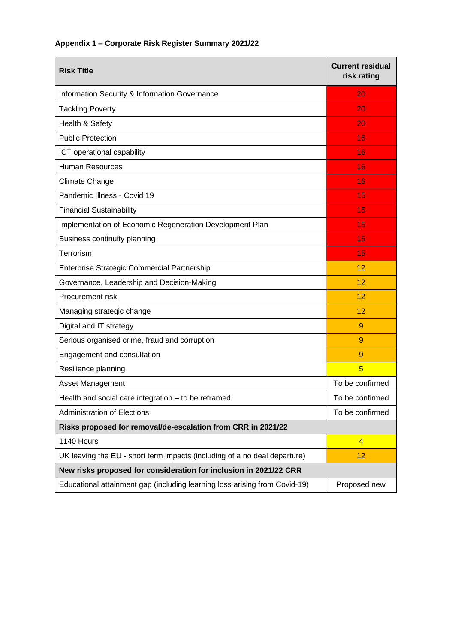| Appendix 1 - Corporate Risk Register Summary 2021/22 |  |  |
|------------------------------------------------------|--|--|
|------------------------------------------------------|--|--|

| <b>Risk Title</b>                                                          | <b>Current residual</b><br>risk rating |  |  |
|----------------------------------------------------------------------------|----------------------------------------|--|--|
| Information Security & Information Governance                              | 20                                     |  |  |
| <b>Tackling Poverty</b>                                                    | 20.                                    |  |  |
| Health & Safety                                                            | 20                                     |  |  |
| <b>Public Protection</b>                                                   | 16                                     |  |  |
| ICT operational capability                                                 | 16                                     |  |  |
| <b>Human Resources</b>                                                     | 16                                     |  |  |
| <b>Climate Change</b>                                                      | 16                                     |  |  |
| Pandemic Illness - Covid 19                                                | 15                                     |  |  |
| <b>Financial Sustainability</b>                                            | 15                                     |  |  |
| Implementation of Economic Regeneration Development Plan                   | 15                                     |  |  |
| Business continuity planning                                               | 15                                     |  |  |
| Terrorism                                                                  | 15                                     |  |  |
| Enterprise Strategic Commercial Partnership                                | 12                                     |  |  |
| Governance, Leadership and Decision-Making                                 | 12                                     |  |  |
| Procurement risk                                                           | 12                                     |  |  |
| Managing strategic change                                                  | 12                                     |  |  |
| Digital and IT strategy                                                    | 9                                      |  |  |
| Serious organised crime, fraud and corruption                              | 9                                      |  |  |
| Engagement and consultation                                                | 9                                      |  |  |
| Resilience planning                                                        | 5                                      |  |  |
| <b>Asset Management</b>                                                    | To be confirmed                        |  |  |
| Health and social care integration - to be reframed                        | To be confirmed                        |  |  |
| <b>Administration of Elections</b>                                         | To be confirmed                        |  |  |
| Risks proposed for removal/de-escalation from CRR in 2021/22               |                                        |  |  |
| 1140 Hours                                                                 | $\overline{4}$                         |  |  |
| UK leaving the EU - short term impacts (including of a no deal departure)  | 12 <sub>2</sub>                        |  |  |
| New risks proposed for consideration for inclusion in 2021/22 CRR          |                                        |  |  |
| Educational attainment gap (including learning loss arising from Covid-19) | Proposed new                           |  |  |